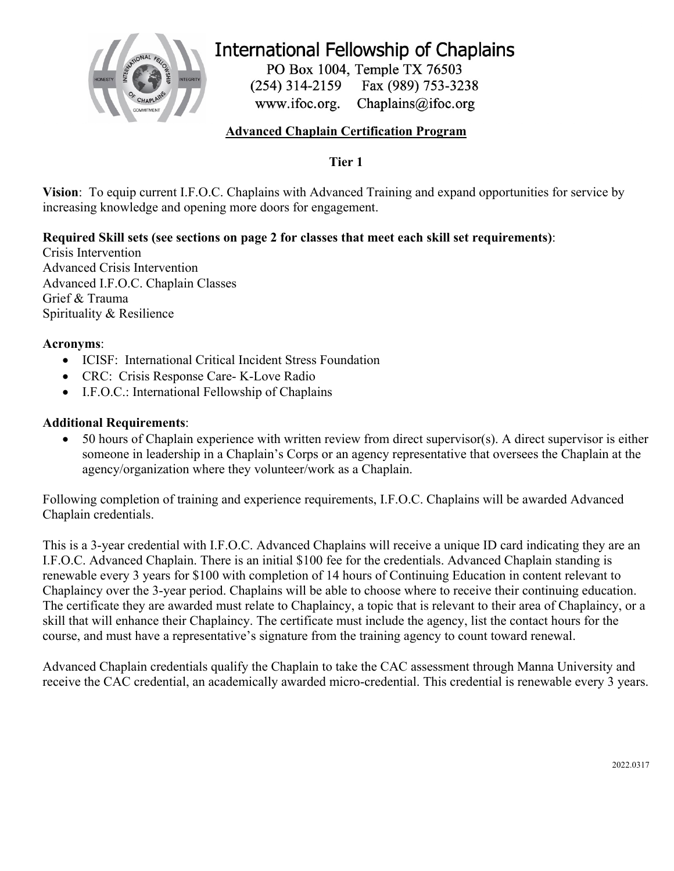

# **International Fellowship of Chaplains**

PO Box 1004, Temple TX 76503 Fax (989) 753-3238  $(254)$  314-2159 www.ifoc.org. Chaplains@ifoc.org

## **Advanced Chaplain Certification Program**

**Tier 1**

**Vision**: To equip current I.F.O.C. Chaplains with Advanced Training and expand opportunities for service by increasing knowledge and opening more doors for engagement.

## **Required Skill sets (see sections on page 2 for classes that meet each skill set requirements)**:

Crisis Intervention Advanced Crisis Intervention Advanced I.F.O.C. Chaplain Classes Grief & Trauma Spirituality & Resilience

#### **Acronyms**:

- ICISF: International Critical Incident Stress Foundation
- CRC: Crisis Response Care- K-Love Radio
- I.F.O.C.: International Fellowship of Chaplains

#### **Additional Requirements**:

• 50 hours of Chaplain experience with written review from direct supervisor(s). A direct supervisor is either someone in leadership in a Chaplain's Corps or an agency representative that oversees the Chaplain at the agency/organization where they volunteer/work as a Chaplain.

Following completion of training and experience requirements, I.F.O.C. Chaplains will be awarded Advanced Chaplain credentials.

This is a 3-year credential with I.F.O.C. Advanced Chaplains will receive a unique ID card indicating they are an I.F.O.C. Advanced Chaplain. There is an initial \$100 fee for the credentials. Advanced Chaplain standing is renewable every 3 years for \$100 with completion of 14 hours of Continuing Education in content relevant to Chaplaincy over the 3-year period. Chaplains will be able to choose where to receive their continuing education. The certificate they are awarded must relate to Chaplaincy, a topic that is relevant to their area of Chaplaincy, or a skill that will enhance their Chaplaincy. The certificate must include the agency, list the contact hours for the course, and must have a representative's signature from the training agency to count toward renewal.

Advanced Chaplain credentials qualify the Chaplain to take the CAC assessment through Manna University and receive the CAC credential, an academically awarded micro-credential. This credential is renewable every 3 years.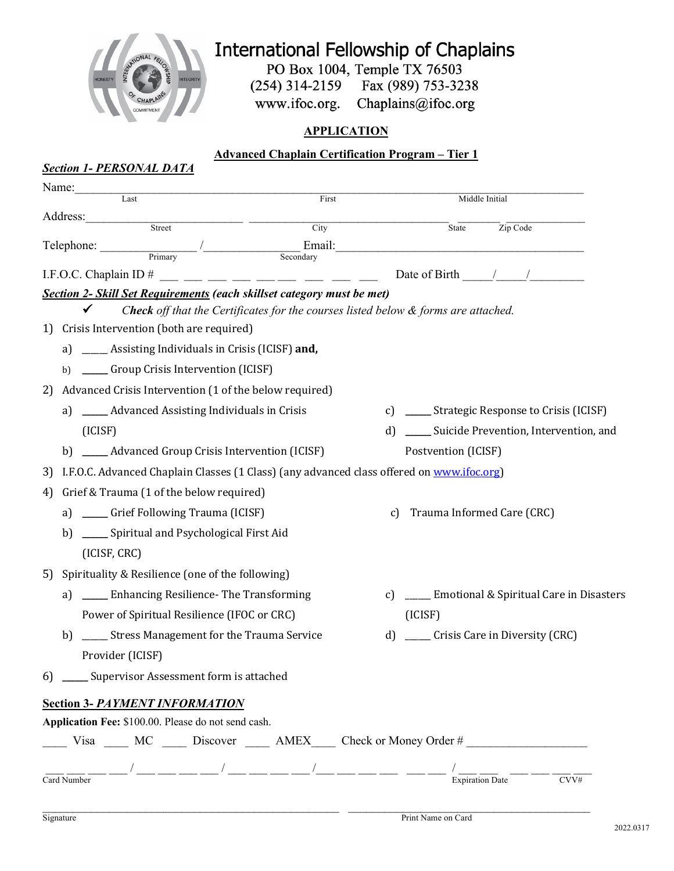

# International Fellowship of Chaplains

PO Box 1004, Temple TX 76503  $(254)$  314-2159 Fax (989) 753-3238

Chaplains@ifoc.org www.ifoc.org.

## **APPLICATION**

# **Advanced Chaplain Certification Program – Tier 1** *Section 1- PERSONAL DATA* Name: Last First Middle Initial Address: Street City City State Zip Code  $\text{Telephone:}\n \begin{picture}(180,190)(0,0) \put(0,0){\line(1,0){100}} \put(10,0){\line(1,0){100}} \put(10,0){\line(1,0){100}} \put(10,0){\line(1,0){100}} \put(10,0){\line(1,0){100}} \put(10,0){\line(1,0){100}} \put(10,0){\line(1,0){100}} \put(10,0){\line(1,0){100}} \put(10,0){\line(1,0){100}} \put(10,0){\line(1,0){100}} \put(10$ I.F.O.C. Chaplain ID # \_\_\_ \_\_\_ \_\_\_ \_\_\_ \_\_\_ \_\_\_ \_\_\_ \_\_\_ \_\_\_ Date of Birth \_\_\_\_\_/\_\_\_\_\_/\_\_\_\_\_\_\_\_\_ *Section 2- Skill Set Requirements (each skillset category must be met)*  $\checkmark$  Check off that the Certificates for the courses listed below  $\&$  forms are attached. 1) Crisis Intervention (both are required) a) \_\_\_\_\_\_ Assisting Individuals in Crisis (ICISF) and, b) \_\_\_\_\_\_ Group Crisis Intervention (ICISF) 2) Advanced Crisis Intervention (1 of the below required)

- a) \_\_\_\_\_\_ Advanced Assisting Individuals in Crisis (ICISF) c) \_\_\_\_\_ Strategic Response to Crisis (ICISF) d) \_\_\_\_\_ Suicide Prevention, Intervention, and
- b) \_\_\_\_\_\_ Advanced Group Crisis Intervention (ICISF)
- 3) I.F.O.C. Advanced Chaplain Classes (1 Class) (any advanced class offered on www.ifoc.org)
- 4) Grief & Trauma (1 of the below required)
	- a) \_\_\_\_\_\_\_ Grief Following Trauma (ICISF)
		- b) \_\_\_\_\_\_ Spiritual and Psychological First Aid (ICISF, CRC)
- 5) Spirituality & Resilience (one of the following)
	- a) \_\_\_\_\_ Enhancing Resilience- The Transforming Power of Spiritual Resilience (IFOC or CRC)
	- b) \_\_\_\_\_ Stress Management for the Trauma Service Provider (ICISF)
- 6) \_\_\_\_\_ Supervisor Assessment form is attached

## **Section 3-** *PAYMENT INFORMATION*

**Application Fee:** \$100.00. Please do not send cash.

(ICISF)

Postvention (ICISF)

c) Trauma Informed Care (CRC)

c) \_\_\_\_\_ Emotional & Spiritual Care in Disasters

d) \_\_\_\_\_ Crisis Care in Diversity (CRC)

\_\_\_\_ Visa \_\_\_\_ MC \_\_\_\_ Discover \_\_\_\_ AMEX\_\_\_\_ Check or Money Order # \_\_\_\_\_\_\_\_\_\_\_\_\_\_\_\_\_\_\_\_ \_\_\_ \_\_\_ \_\_\_ \_\_\_ / \_\_\_ \_\_\_ \_\_\_ \_\_\_ / \_\_\_ \_\_\_ \_\_\_ \_\_\_ /\_\_\_ \_\_\_ \_\_\_ \_\_\_ \_\_\_ \_\_\_ / \_\_\_ \_\_\_ \_\_\_ \_\_\_ \_\_\_ \_\_\_

| $\sim$<br>Card<br>NH.<br>тное |  | ⊅ate<br>эn | $\mathbf{v}$ |
|-------------------------------|--|------------|--------------|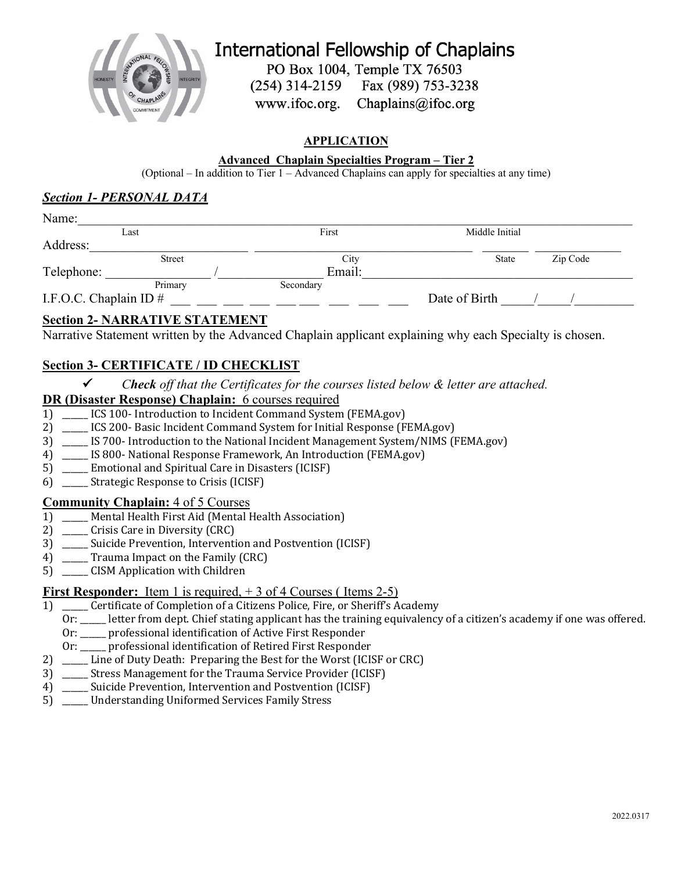

**International Fellowship of Chaplains** 

PO Box 1004, Temple TX 76503

 $(254)$  314-2159 Fax (989) 753-3238

www.ifoc.org. Chaplains@ifoc.org

## **APPLICATION**

#### **Advanced Chaplain Specialties Program – Tier 2**

(Optional – In addition to Tier 1 – Advanced Chaplains can apply for specialties at any time)

#### *Section 1- PERSONAL DATA*

| Last                     |               | First     | Middle Initial |          |  |  |
|--------------------------|---------------|-----------|----------------|----------|--|--|
| Address:                 |               |           |                |          |  |  |
|                          | <b>Street</b> | City      | <b>State</b>   | Zip Code |  |  |
| Telephone:               |               | Email:    |                |          |  |  |
|                          | Primary       | Secondary |                |          |  |  |
| I.F.O.C. Chaplain ID $#$ |               |           | Date of Birth  |          |  |  |

## **Section 2- NARRATIVE STATEMENT**

Narrative Statement written by the Advanced Chaplain applicant explaining why each Specialty is chosen.

# **Section 3- CERTIFICATE / ID CHECKLIST**

ü *Check off that the Certificates for the courses listed below & letter are attached.*

#### **DR (Disaster Response) Chaplain:** 6 courses required

- 1) ICS 100- Introduction to Incident Command System (FEMA.gov)
- 2) \_\_\_\_\_ ICS 200- Basic Incident Command System for Initial Response (FEMA.gov)
- 3) \_\_\_\_\_ IS 700- Introduction to the National Incident Management System/NIMS (FEMA.gov)
- 4) \_\_\_\_\_ IS 800- National Response Framework, An Introduction (FEMA.gov)
- 5) Emotional and Spiritual Care in Disasters (ICISF)
- 6) \_\_\_\_\_\_ Strategic Response to Crisis (ICISF)

#### **Community Chaplain:** 4 of 5 Courses

- 1) \_\_\_\_\_ Mental Health First Aid (Mental Health Association)
- 2) Crisis Care in Diversity (CRC)
- 3) Suicide Prevention, Intervention and Postvention (ICISF)
- 4) Trauma Impact on the Family (CRC)
- 5) CISM Application with Children

#### **First Responder:** Item 1 is required,  $+3$  of 4 Courses (Items 2-5)

- 1) \_\_\_\_\_ Certificate of Completion of a Citizens Police, Fire, or Sheriff's Academy
	- Or: \_\_\_\_\_ letter from dept. Chief stating applicant has the training equivalency of a citizen's academy if one was offered.
	- Or: \_\_\_\_\_ professional identification of Active First Responder
	- Or: \_\_\_\_\_ professional identification of Retired First Responder
- 2) \_\_\_\_\_ Line of Duty Death: Preparing the Best for the Worst (ICISF or CRC)
- 3) Stress Management for the Trauma Service Provider (ICISF)
- 4) \_\_\_\_\_ Suicide Prevention, Intervention and Postvention (ICISF)
- 5) \_\_\_\_\_ Understanding Uniformed Services Family Stress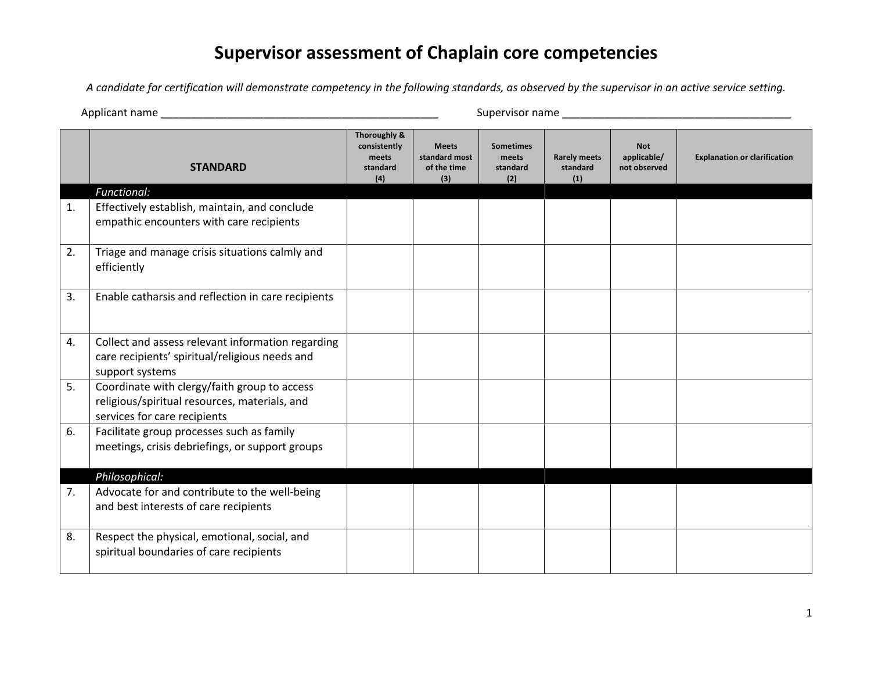# **Supervisor assessment of Chaplain core competencies**

*A candidate for certification will demonstrate competency in the following standards, as observed by the supervisor in an active service setting.*

Applicant name \_\_\_\_\_\_\_\_\_\_\_\_\_\_\_\_\_\_\_\_\_\_\_\_\_\_\_\_\_\_\_\_\_\_\_\_\_\_\_\_\_\_\_\_\_\_ Supervisor name \_\_\_\_\_\_\_\_\_\_\_\_\_\_\_\_\_\_\_\_\_\_\_\_\_\_\_\_\_\_\_\_\_\_\_\_\_\_

|    | <b>STANDARD</b>                                                                                                               | Thoroughly &<br>consistently<br>meets<br>standard<br>(4) | <b>Meets</b><br>standard most<br>of the time<br>(3) | <b>Sometimes</b><br>meets<br>standard<br>(2) | <b>Rarely meets</b><br>standard<br>(1) | <b>Not</b><br>applicable/<br>not observed | <b>Explanation or clarification</b> |
|----|-------------------------------------------------------------------------------------------------------------------------------|----------------------------------------------------------|-----------------------------------------------------|----------------------------------------------|----------------------------------------|-------------------------------------------|-------------------------------------|
|    | Functional:                                                                                                                   |                                                          |                                                     |                                              |                                        |                                           |                                     |
| 1. | Effectively establish, maintain, and conclude<br>empathic encounters with care recipients                                     |                                                          |                                                     |                                              |                                        |                                           |                                     |
| 2. | Triage and manage crisis situations calmly and<br>efficiently                                                                 |                                                          |                                                     |                                              |                                        |                                           |                                     |
| 3. | Enable catharsis and reflection in care recipients                                                                            |                                                          |                                                     |                                              |                                        |                                           |                                     |
| 4. | Collect and assess relevant information regarding<br>care recipients' spiritual/religious needs and<br>support systems        |                                                          |                                                     |                                              |                                        |                                           |                                     |
| 5. | Coordinate with clergy/faith group to access<br>religious/spiritual resources, materials, and<br>services for care recipients |                                                          |                                                     |                                              |                                        |                                           |                                     |
| 6. | Facilitate group processes such as family<br>meetings, crisis debriefings, or support groups                                  |                                                          |                                                     |                                              |                                        |                                           |                                     |
|    | Philosophical:                                                                                                                |                                                          |                                                     |                                              |                                        |                                           |                                     |
| 7. | Advocate for and contribute to the well-being<br>and best interests of care recipients                                        |                                                          |                                                     |                                              |                                        |                                           |                                     |
| 8. | Respect the physical, emotional, social, and<br>spiritual boundaries of care recipients                                       |                                                          |                                                     |                                              |                                        |                                           |                                     |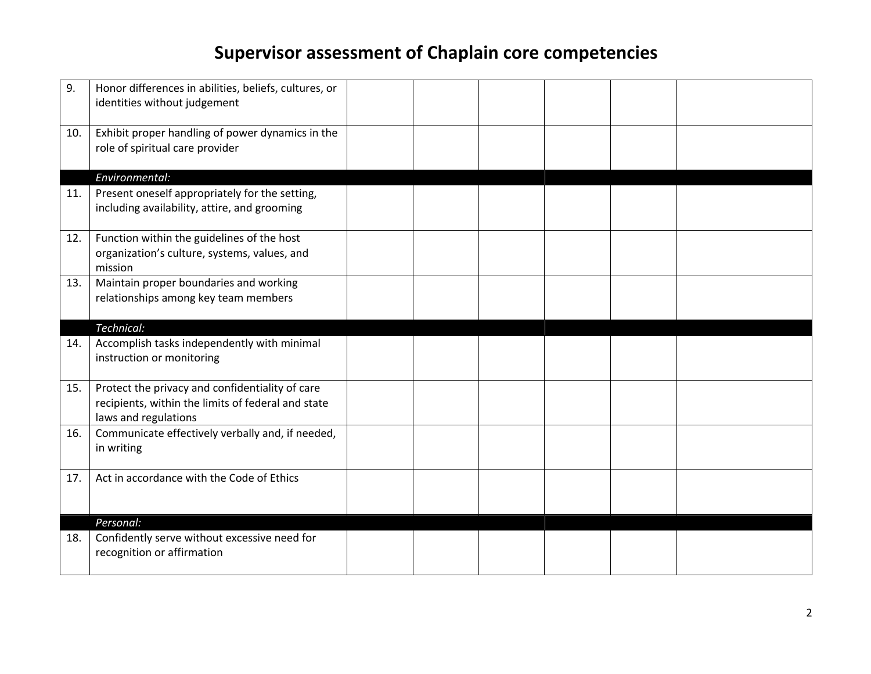# **Supervisor assessment of Chaplain core competencies**

| 9.  | Honor differences in abilities, beliefs, cultures, or<br>identities without judgement                                         |  |  |  |
|-----|-------------------------------------------------------------------------------------------------------------------------------|--|--|--|
| 10. | Exhibit proper handling of power dynamics in the<br>role of spiritual care provider                                           |  |  |  |
|     | Environmental:                                                                                                                |  |  |  |
| 11. | Present oneself appropriately for the setting,<br>including availability, attire, and grooming                                |  |  |  |
| 12. | Function within the guidelines of the host<br>organization's culture, systems, values, and<br>mission                         |  |  |  |
| 13. | Maintain proper boundaries and working<br>relationships among key team members                                                |  |  |  |
|     | Technical:                                                                                                                    |  |  |  |
| 14. | Accomplish tasks independently with minimal<br>instruction or monitoring                                                      |  |  |  |
| 15. | Protect the privacy and confidentiality of care<br>recipients, within the limits of federal and state<br>laws and regulations |  |  |  |
| 16. | Communicate effectively verbally and, if needed,<br>in writing                                                                |  |  |  |
| 17. | Act in accordance with the Code of Ethics                                                                                     |  |  |  |
|     | Personal:                                                                                                                     |  |  |  |
| 18. | Confidently serve without excessive need for<br>recognition or affirmation                                                    |  |  |  |